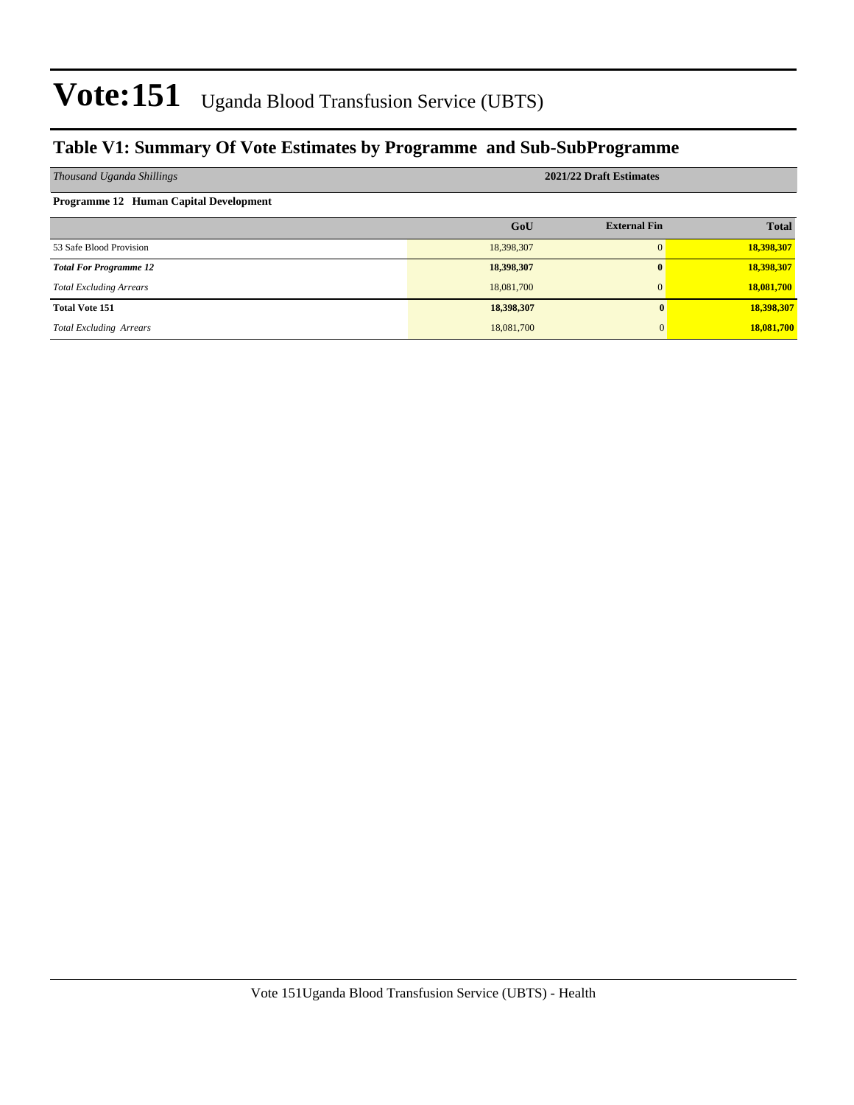### **Table V1: Summary Of Vote Estimates by Programme and Sub-SubProgramme**

| Thousand Uganda Shillings                     | 2021/22 Draft Estimates |                     |              |  |  |  |  |
|-----------------------------------------------|-------------------------|---------------------|--------------|--|--|--|--|
| <b>Programme 12 Human Capital Development</b> |                         |                     |              |  |  |  |  |
|                                               | GoU                     | <b>External Fin</b> | <b>Total</b> |  |  |  |  |
| 53 Safe Blood Provision                       | 18,398,307              | $\Omega$            | 18,398,307   |  |  |  |  |
| <b>Total For Programme 12</b>                 | 18,398,307              | $\bf{0}$            | 18,398,307   |  |  |  |  |
| <b>Total Excluding Arrears</b>                | 18,081,700              | $\Omega$            | 18,081,700   |  |  |  |  |
| <b>Total Vote 151</b>                         | 18,398,307              |                     | 18,398,307   |  |  |  |  |
| <b>Total Excluding Arrears</b>                | 18,081,700              |                     | 18,081,700   |  |  |  |  |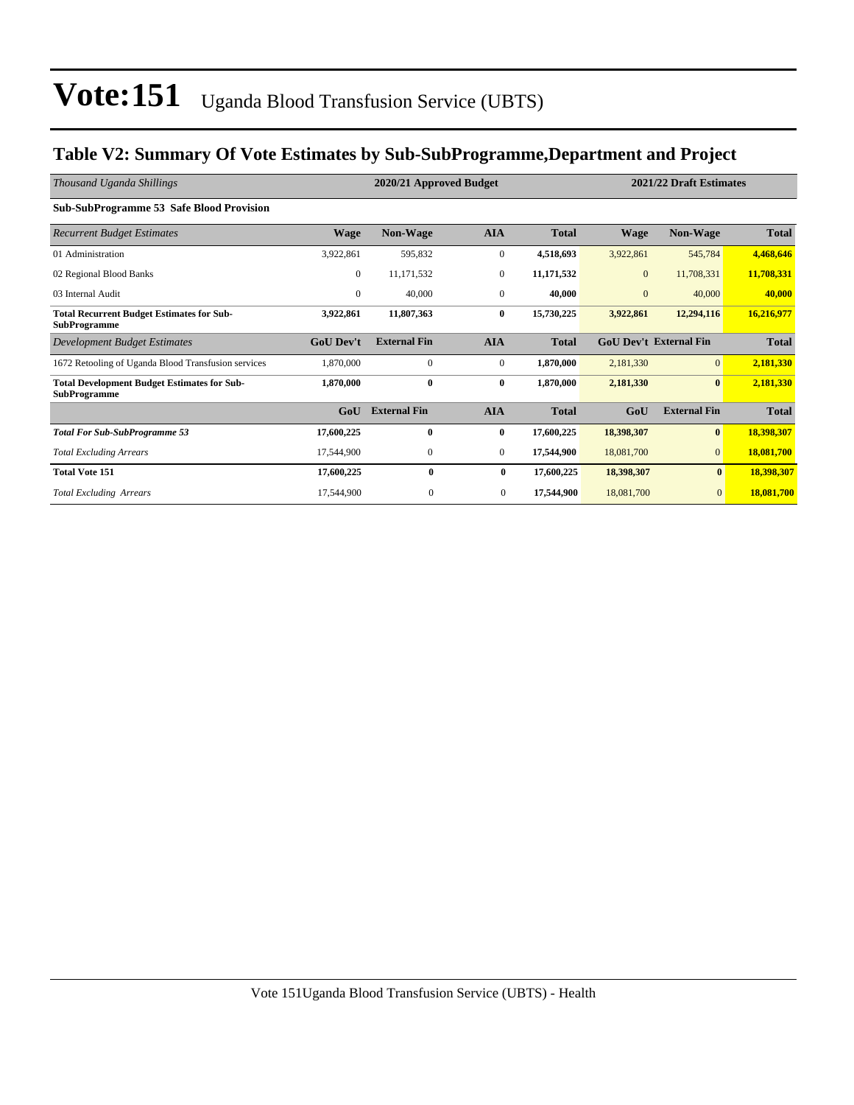### **Table V2: Summary Of Vote Estimates by Sub-SubProgramme,Department and Project**

| Thousand Uganda Shillings                                                 |                  | 2020/21 Approved Budget |                  | 2021/22 Draft Estimates |              |                               |              |
|---------------------------------------------------------------------------|------------------|-------------------------|------------------|-------------------------|--------------|-------------------------------|--------------|
| <b>Sub-SubProgramme 53 Safe Blood Provision</b>                           |                  |                         |                  |                         |              |                               |              |
| <b>Recurrent Budget Estimates</b>                                         | <b>Wage</b>      | <b>Non-Wage</b>         | <b>AIA</b>       | <b>Total</b>            | <b>Wage</b>  | <b>Non-Wage</b>               | <b>Total</b> |
| 01 Administration                                                         | 3,922,861        | 595,832                 | $\mathbf{0}$     | 4,518,693               | 3,922,861    | 545,784                       | 4,468,646    |
| 02 Regional Blood Banks                                                   | $\Omega$         | 11,171,532              | $\mathbf{0}$     | 11,171,532              | $\mathbf{0}$ | 11,708,331                    | 11,708,331   |
| 03 Internal Audit                                                         | $\mathbf{0}$     | 40,000                  | $\mathbf{0}$     | 40,000                  | $\mathbf{0}$ | 40,000                        | 40,000       |
| <b>Total Recurrent Budget Estimates for Sub-</b><br><b>SubProgramme</b>   | 3,922,861        | 11,807,363              | $\bf{0}$         | 15,730,225              | 3,922,861    | 12,294,116                    | 16,216,977   |
| Development Budget Estimates                                              | <b>GoU</b> Dev't | <b>External Fin</b>     | <b>AIA</b>       | <b>Total</b>            |              | <b>GoU Dev't External Fin</b> | <b>Total</b> |
| 1672 Retooling of Uganda Blood Transfusion services                       | 1,870,000        | $\mathbf{0}$            | $\boldsymbol{0}$ | 1,870,000               | 2,181,330    | $\overline{0}$                | 2,181,330    |
| <b>Total Development Budget Estimates for Sub-</b><br><b>SubProgramme</b> | 1,870,000        | $\bf{0}$                | $\bf{0}$         | 1,870,000               | 2,181,330    | $\bf{0}$                      | 2,181,330    |
|                                                                           | GoU              | <b>External Fin</b>     | <b>AIA</b>       | <b>Total</b>            | GoU          | <b>External Fin</b>           | <b>Total</b> |
| <b>Total For Sub-SubProgramme 53</b>                                      | 17,600,225       | $\bf{0}$                | $\bf{0}$         | 17,600,225              | 18,398,307   | $\bf{0}$                      | 18,398,307   |
| <b>Total Excluding Arrears</b>                                            | 17,544,900       | 0                       | $\mathbf{0}$     | 17,544,900              | 18,081,700   | $\mathbf{0}$                  | 18,081,700   |
| <b>Total Vote 151</b>                                                     | 17,600,225       | $\bf{0}$                | $\bf{0}$         | 17,600,225              | 18,398,307   | $\bf{0}$                      | 18,398,307   |
| <b>Total Excluding Arrears</b>                                            | 17,544,900       | $\mathbf{0}$            | $\mathbf{0}$     | 17,544,900              | 18,081,700   | $\mathbf{0}$                  | 18,081,700   |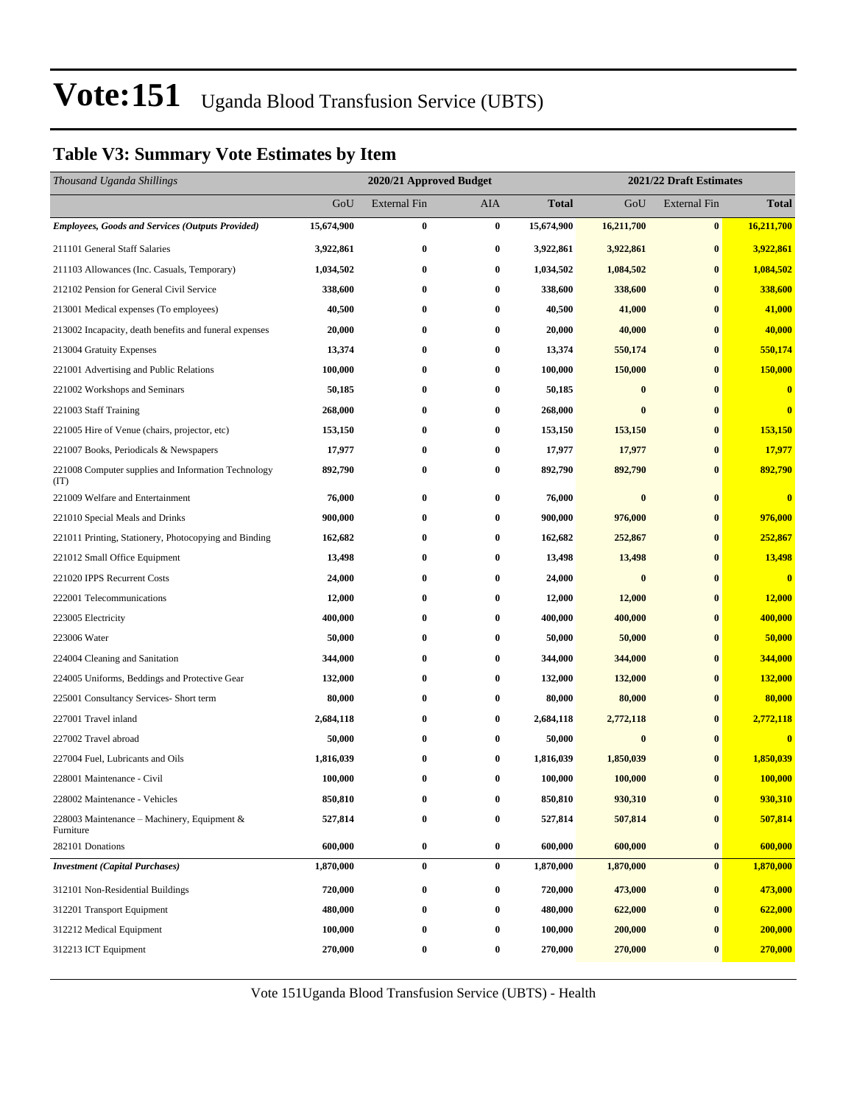### **Table V3: Summary Vote Estimates by Item**

| Thousand Uganda Shillings                                   |            | 2020/21 Approved Budget |                  |              |            | 2021/22 Draft Estimates |                         |  |  |
|-------------------------------------------------------------|------------|-------------------------|------------------|--------------|------------|-------------------------|-------------------------|--|--|
|                                                             | GoU        | <b>External Fin</b>     | AIA              | <b>Total</b> | GoU        | <b>External Fin</b>     | <b>Total</b>            |  |  |
| <b>Employees, Goods and Services (Outputs Provided)</b>     | 15,674,900 | $\bf{0}$                | $\bf{0}$         | 15,674,900   | 16,211,700 | $\pmb{0}$               | 16,211,700              |  |  |
| 211101 General Staff Salaries                               | 3,922,861  | $\bf{0}$                | $\bf{0}$         | 3,922,861    | 3,922,861  | $\bf{0}$                | 3,922,861               |  |  |
| 211103 Allowances (Inc. Casuals, Temporary)                 | 1,034,502  | $\bf{0}$                | $\boldsymbol{0}$ | 1,034,502    | 1,084,502  | $\bf{0}$                | 1,084,502               |  |  |
| 212102 Pension for General Civil Service                    | 338,600    | $\bf{0}$                | 0                | 338,600      | 338,600    | $\bf{0}$                | 338,600                 |  |  |
| 213001 Medical expenses (To employees)                      | 40,500     | $\bf{0}$                | $\bf{0}$         | 40,500       | 41,000     | $\bf{0}$                | 41,000                  |  |  |
| 213002 Incapacity, death benefits and funeral expenses      | 20,000     | $\bf{0}$                | 0                | 20,000       | 40,000     | $\bf{0}$                | 40,000                  |  |  |
| 213004 Gratuity Expenses                                    | 13,374     | $\bf{0}$                | 0                | 13,374       | 550,174    | $\bf{0}$                | 550,174                 |  |  |
| 221001 Advertising and Public Relations                     | 100,000    | $\bf{0}$                | 0                | 100,000      | 150,000    | $\bf{0}$                | 150,000                 |  |  |
| 221002 Workshops and Seminars                               | 50,185     | $\bf{0}$                | 0                | 50,185       | $\bf{0}$   | $\bf{0}$                | $\bf{0}$                |  |  |
| 221003 Staff Training                                       | 268,000    | $\bf{0}$                | $\bf{0}$         | 268,000      | $\bf{0}$   | $\bf{0}$                | $\bf{0}$                |  |  |
| 221005 Hire of Venue (chairs, projector, etc)               | 153,150    | $\bf{0}$                | $\bf{0}$         | 153,150      | 153,150    | $\bf{0}$                | 153,150                 |  |  |
| 221007 Books, Periodicals & Newspapers                      | 17,977     | $\bf{0}$                | $\bf{0}$         | 17,977       | 17,977     | $\bf{0}$                | 17,977                  |  |  |
| 221008 Computer supplies and Information Technology<br>(TT) | 892,790    | $\bf{0}$                | 0                | 892,790      | 892,790    | $\bf{0}$                | 892,790                 |  |  |
| 221009 Welfare and Entertainment                            | 76,000     | $\bf{0}$                | $\bf{0}$         | 76,000       | $\bf{0}$   | $\bf{0}$                | $\overline{\mathbf{0}}$ |  |  |
| 221010 Special Meals and Drinks                             | 900,000    | $\bf{0}$                | 0                | 900,000      | 976,000    | $\bf{0}$                | 976,000                 |  |  |
| 221011 Printing, Stationery, Photocopying and Binding       | 162,682    | $\bf{0}$                | $\bf{0}$         | 162,682      | 252,867    | $\bf{0}$                | 252,867                 |  |  |
| 221012 Small Office Equipment                               | 13,498     | $\bf{0}$                | 0                | 13,498       | 13,498     | $\bf{0}$                | 13,498                  |  |  |
| 221020 IPPS Recurrent Costs                                 | 24,000     | $\bf{0}$                | $\bf{0}$         | 24,000       | $\bf{0}$   | $\bf{0}$                | $\bf{0}$                |  |  |
| 222001 Telecommunications                                   | 12,000     | $\bf{0}$                | $\bf{0}$         | 12,000       | 12,000     | $\bf{0}$                | 12,000                  |  |  |
| 223005 Electricity                                          | 400,000    | $\bf{0}$                | 0                | 400,000      | 400,000    | $\bf{0}$                | 400,000                 |  |  |
| 223006 Water                                                | 50,000     | $\bf{0}$                | $\bf{0}$         | 50,000       | 50,000     | $\bf{0}$                | 50,000                  |  |  |
| 224004 Cleaning and Sanitation                              | 344,000    | $\bf{0}$                | 0                | 344,000      | 344,000    | $\bf{0}$                | 344,000                 |  |  |
| 224005 Uniforms, Beddings and Protective Gear               | 132,000    | $\bf{0}$                | $\bf{0}$         | 132,000      | 132,000    | $\bf{0}$                | 132,000                 |  |  |
| 225001 Consultancy Services- Short term                     | 80,000     | $\bf{0}$                | $\bf{0}$         | 80,000       | 80,000     | $\bf{0}$                | 80,000                  |  |  |
| 227001 Travel inland                                        | 2,684,118  | $\bf{0}$                | 0                | 2,684,118    | 2,772,118  | $\bf{0}$                | 2,772,118               |  |  |
| 227002 Travel abroad                                        | 50,000     | $\bf{0}$                | $\bf{0}$         | 50,000       | $\bf{0}$   | $\bf{0}$                | $\bf{0}$                |  |  |
| 227004 Fuel, Lubricants and Oils                            | 1,816,039  | $\bf{0}$                | 0                | 1,816,039    | 1,850,039  | $\bf{0}$                | 1,850,039               |  |  |
| 228001 Maintenance - Civil                                  | 100,000    | $\bf{0}$                | 0                | 100,000      | 100,000    | $\bf{0}$                | 100,000                 |  |  |
| 228002 Maintenance - Vehicles                               | 850,810    | $\bf{0}$                | $\bf{0}$         | 850,810      | 930,310    | $\bf{0}$                | 930,310                 |  |  |
| 228003 Maintenance – Machinery, Equipment &<br>Furniture    | 527,814    | $\bf{0}$                | 0                | 527,814      | 507,814    | $\bf{0}$                | 507,814                 |  |  |
| 282101 Donations                                            | 600,000    | $\pmb{0}$               | $\bf{0}$         | 600,000      | 600,000    | $\pmb{0}$               | 600,000                 |  |  |
| <b>Investment</b> (Capital Purchases)                       | 1,870,000  | $\bf{0}$                | $\bf{0}$         | 1,870,000    | 1,870,000  | $\bf{0}$                | 1,870,000               |  |  |
| 312101 Non-Residential Buildings                            | 720,000    | $\bf{0}$                | $\bf{0}$         | 720,000      | 473,000    | $\boldsymbol{0}$        | 473,000                 |  |  |
| 312201 Transport Equipment                                  | 480,000    | $\bf{0}$                | 0                | 480,000      | 622,000    | $\bf{0}$                | 622,000                 |  |  |
| 312212 Medical Equipment                                    | 100,000    | $\bf{0}$                | 0                | 100,000      | 200,000    | $\bf{0}$                | 200,000                 |  |  |
| 312213 ICT Equipment                                        | 270,000    | $\bf{0}$                | $\bf{0}$         | 270,000      | 270,000    | $\bf{0}$                | 270,000                 |  |  |

Vote 151Uganda Blood Transfusion Service (UBTS) - Health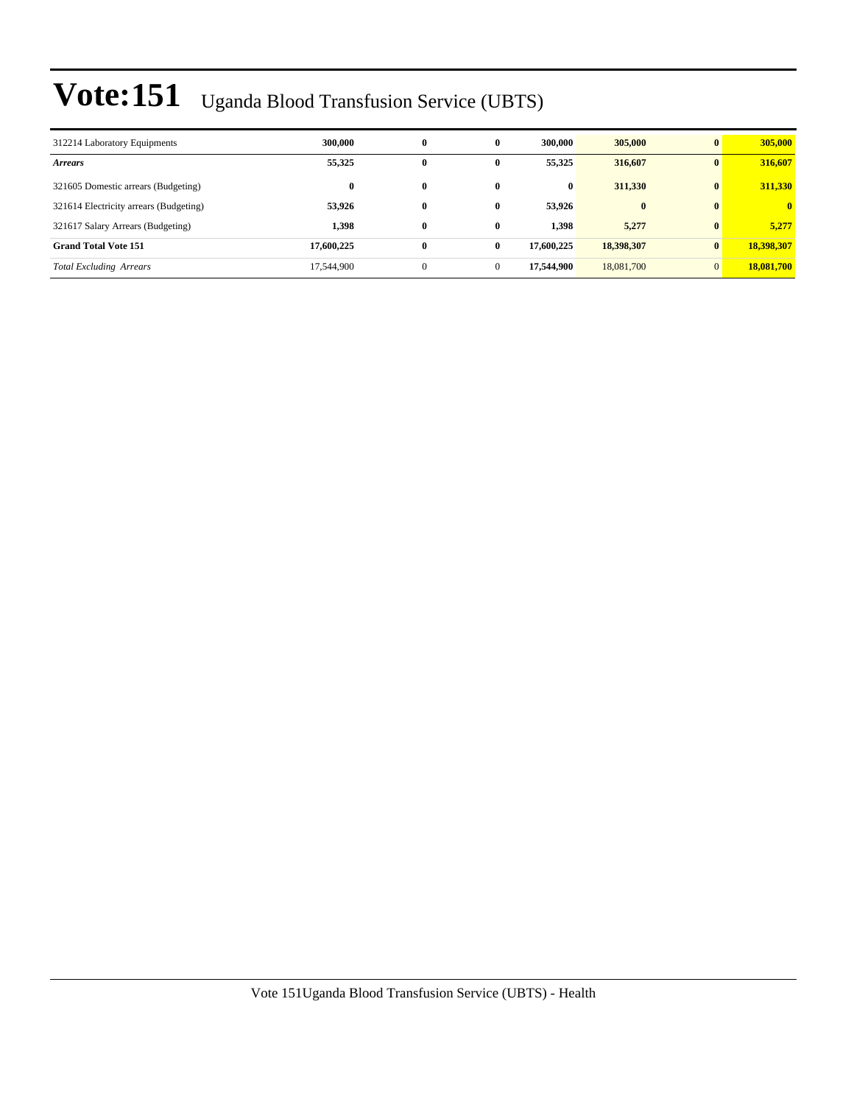| 312214 Laboratory Equipments           | 300,000    | 0              | 0        | 300,000    | 305,000    | $\mathbf{0}$ | 305,000      |
|----------------------------------------|------------|----------------|----------|------------|------------|--------------|--------------|
| <b>Arrears</b>                         | 55,325     | 0              | 0        | 55,325     | 316,607    | $\mathbf{0}$ | 316,607      |
| 321605 Domestic arrears (Budgeting)    | $\bf{0}$   | $\bf{0}$       | 0        | $\bf{0}$   | 311,330    | $\mathbf{0}$ | 311,330      |
| 321614 Electricity arrears (Budgeting) | 53,926     | $\bf{0}$       | 0        | 53,926     | $\bf{0}$   |              | $\mathbf{0}$ |
| 321617 Salary Arrears (Budgeting)      | 1,398      | $\bf{0}$       | $\bf{0}$ | 1,398      | 5,277      | $\mathbf{0}$ | 5,277        |
| <b>Grand Total Vote 151</b>            | 17,600,225 | $\bf{0}$       | 0        | 17,600,225 | 18,398,307 | $\mathbf{0}$ | 18,398,307   |
| <b>Total Excluding Arrears</b>         | 17,544,900 | $\overline{0}$ | $\Omega$ | 17.544.900 | 18,081,700 | $\Omega$     | 18,081,700   |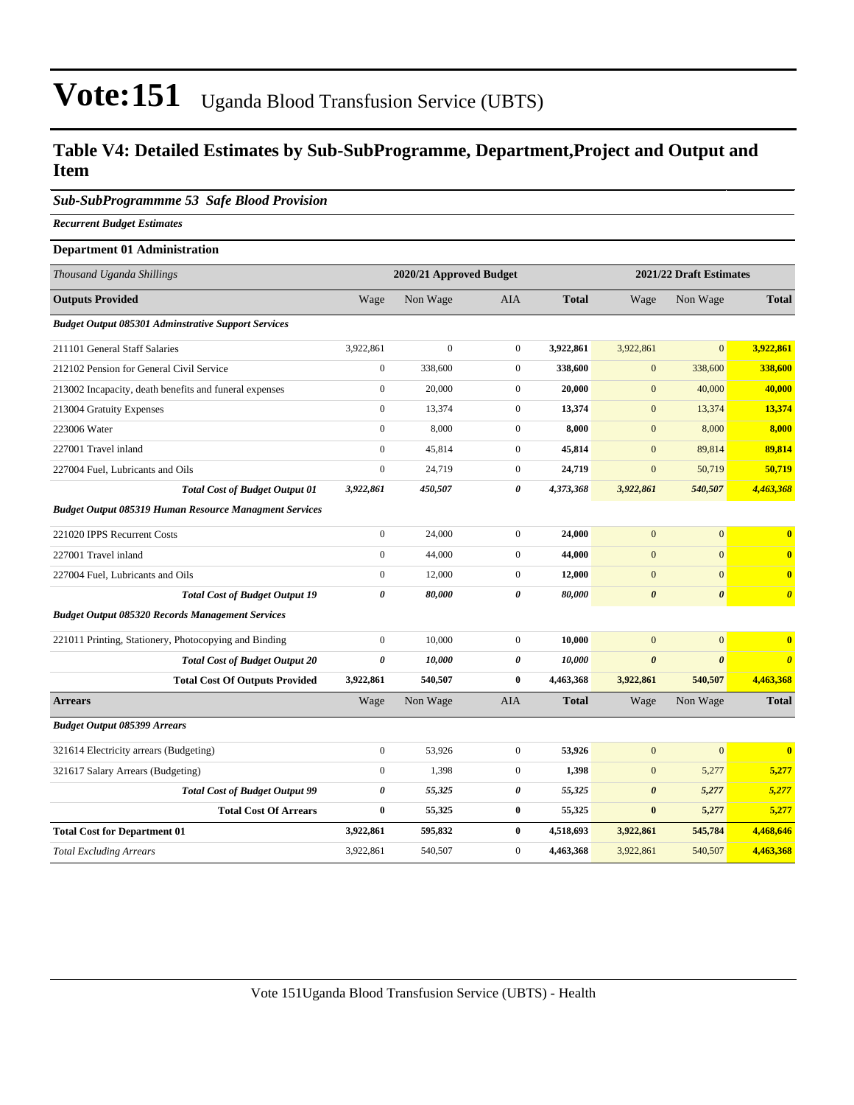### **Table V4: Detailed Estimates by Sub-SubProgramme, Department,Project and Output and Item**

#### *Sub-SubProgrammme 53 Safe Blood Provision*

*Recurrent Budget Estimates*

#### **Department 01 Administration**

| Thousand Uganda Shillings                                     | 2020/21 Approved Budget<br>2021/22 Draft Estimates |              |                  |              |                       |                       |                         |
|---------------------------------------------------------------|----------------------------------------------------|--------------|------------------|--------------|-----------------------|-----------------------|-------------------------|
| <b>Outputs Provided</b>                                       | Wage                                               | Non Wage     | AIA              | <b>Total</b> | Wage                  | Non Wage              | <b>Total</b>            |
| <b>Budget Output 085301 Adminstrative Support Services</b>    |                                                    |              |                  |              |                       |                       |                         |
| 211101 General Staff Salaries                                 | 3,922,861                                          | $\mathbf{0}$ | $\mathbf{0}$     | 3,922,861    | 3,922,861             | $\overline{0}$        | 3,922,861               |
| 212102 Pension for General Civil Service                      | $\mathbf{0}$                                       | 338,600      | $\mathbf{0}$     | 338,600      | $\mathbf{0}$          | 338,600               | 338,600                 |
| 213002 Incapacity, death benefits and funeral expenses        | $\mathbf{0}$                                       | 20,000       | $\boldsymbol{0}$ | 20,000       | $\boldsymbol{0}$      | 40,000                | 40,000                  |
| 213004 Gratuity Expenses                                      | $\mathbf{0}$                                       | 13,374       | $\boldsymbol{0}$ | 13,374       | $\boldsymbol{0}$      | 13,374                | 13,374                  |
| 223006 Water                                                  | $\mathbf{0}$                                       | 8,000        | $\boldsymbol{0}$ | 8,000        | $\mathbf{0}$          | 8,000                 | 8,000                   |
| 227001 Travel inland                                          | $\mathbf{0}$                                       | 45,814       | $\mathbf{0}$     | 45,814       | $\mathbf{0}$          | 89,814                | 89,814                  |
| 227004 Fuel, Lubricants and Oils                              | $\boldsymbol{0}$                                   | 24,719       | $\boldsymbol{0}$ | 24,719       | $\boldsymbol{0}$      | 50,719                | 50,719                  |
| <b>Total Cost of Budget Output 01</b>                         | 3,922,861                                          | 450,507      | 0                | 4,373,368    | 3,922,861             | 540,507               | 4,463,368               |
| <b>Budget Output 085319 Human Resource Managment Services</b> |                                                    |              |                  |              |                       |                       |                         |
| 221020 IPPS Recurrent Costs                                   | $\mathbf{0}$                                       | 24,000       | $\boldsymbol{0}$ | 24,000       | $\boldsymbol{0}$      | $\boldsymbol{0}$      | $\bf{0}$                |
| 227001 Travel inland                                          | $\mathbf{0}$                                       | 44,000       | $\mathbf{0}$     | 44,000       | $\mathbf{0}$          | $\mathbf{0}$          | $\bf{0}$                |
| 227004 Fuel, Lubricants and Oils                              | $\theta$                                           | 12,000       | $\boldsymbol{0}$ | 12,000       | $\mathbf{0}$          | $\mathbf{0}$          | $\bf{0}$                |
| <b>Total Cost of Budget Output 19</b>                         | $\pmb{\theta}$                                     | 80,000       | 0                | 80,000       | $\boldsymbol{\theta}$ | $\boldsymbol{\theta}$ | $\boldsymbol{\theta}$   |
| <b>Budget Output 085320 Records Management Services</b>       |                                                    |              |                  |              |                       |                       |                         |
| 221011 Printing, Stationery, Photocopying and Binding         | $\boldsymbol{0}$                                   | 10,000       | $\boldsymbol{0}$ | 10,000       | $\mathbf{0}$          | $\mathbf{0}$          | $\bf{0}$                |
| <b>Total Cost of Budget Output 20</b>                         | $\pmb{\theta}$                                     | 10,000       | 0                | 10,000       | $\boldsymbol{\theta}$ | $\boldsymbol{\theta}$ | $\boldsymbol{\theta}$   |
| <b>Total Cost Of Outputs Provided</b>                         | 3,922,861                                          | 540,507      | $\bf{0}$         | 4,463,368    | 3,922,861             | 540,507               | 4,463,368               |
| <b>Arrears</b>                                                | Wage                                               | Non Wage     | AIA              | <b>Total</b> | Wage                  | Non Wage              | Total                   |
| <b>Budget Output 085399 Arrears</b>                           |                                                    |              |                  |              |                       |                       |                         |
| 321614 Electricity arrears (Budgeting)                        | $\mathbf{0}$                                       | 53,926       | $\boldsymbol{0}$ | 53,926       | $\boldsymbol{0}$      | $\mathbf{0}$          | $\overline{\mathbf{0}}$ |
| 321617 Salary Arrears (Budgeting)                             | $\mathbf{0}$                                       | 1,398        | $\boldsymbol{0}$ | 1,398        | $\boldsymbol{0}$      | 5,277                 | 5,277                   |
| <b>Total Cost of Budget Output 99</b>                         | $\boldsymbol{\theta}$                              | 55,325       | 0                | 55,325       | $\boldsymbol{\theta}$ | 5,277                 | 5,277                   |
| <b>Total Cost Of Arrears</b>                                  | $\bf{0}$                                           | 55,325       | $\bf{0}$         | 55,325       | $\bf{0}$              | 5,277                 | 5,277                   |
| <b>Total Cost for Department 01</b>                           | 3,922,861                                          | 595,832      | $\bf{0}$         | 4,518,693    | 3,922,861             | 545,784               | 4,468,646               |
| <b>Total Excluding Arrears</b>                                | 3,922,861                                          | 540,507      | $\mathbf{0}$     | 4,463,368    | 3,922,861             | 540,507               | 4,463,368               |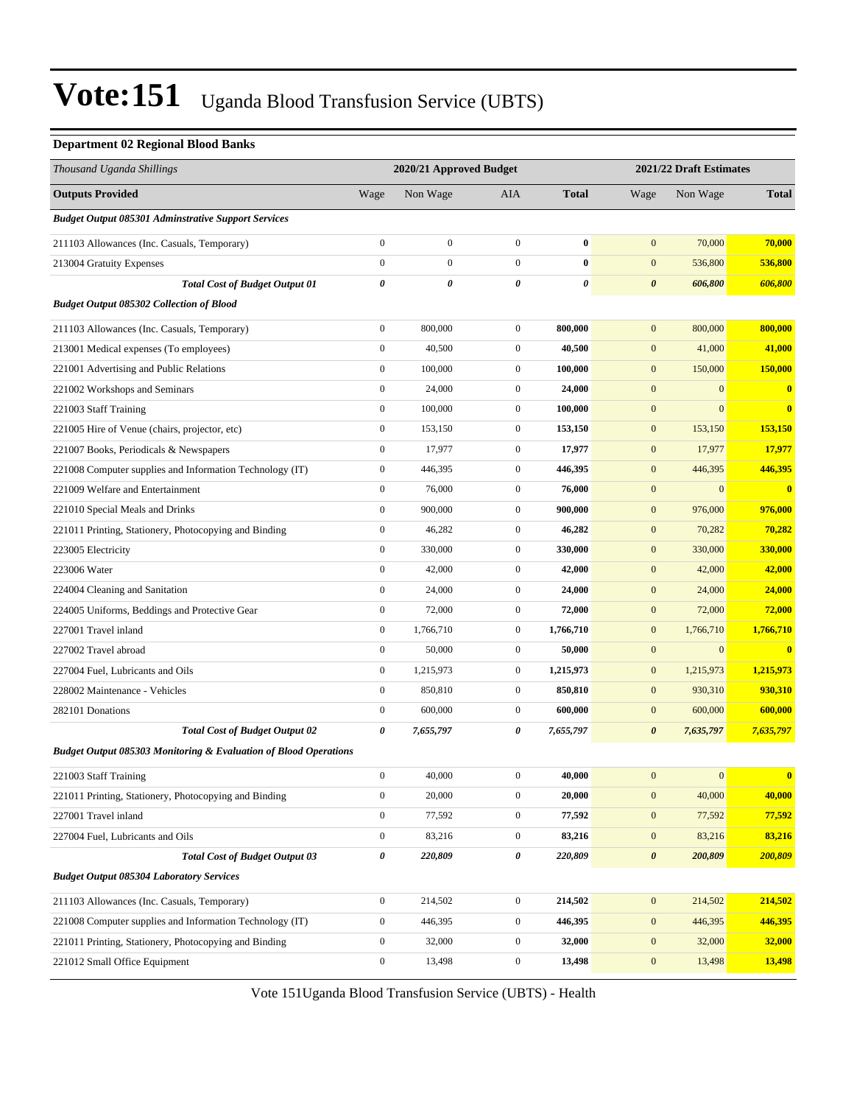#### **Department 02 Regional Blood Banks**

| Thousand Uganda Shillings                                                   | 2020/21 Approved Budget |                  |                  |              | 2021/22 Draft Estimates |                 |                  |
|-----------------------------------------------------------------------------|-------------------------|------------------|------------------|--------------|-------------------------|-----------------|------------------|
| <b>Outputs Provided</b>                                                     | Wage                    | Non Wage         | AIA              | <b>Total</b> | Wage                    | Non Wage        | <b>Total</b>     |
| <b>Budget Output 085301 Adminstrative Support Services</b>                  |                         |                  |                  |              |                         |                 |                  |
| 211103 Allowances (Inc. Casuals, Temporary)                                 | $\mathbf{0}$            | $\boldsymbol{0}$ | $\boldsymbol{0}$ | $\pmb{0}$    | $\boldsymbol{0}$        | 70,000          | 70,000           |
| 213004 Gratuity Expenses                                                    | $\boldsymbol{0}$        | $\boldsymbol{0}$ | $\boldsymbol{0}$ | $\bf{0}$     | $\boldsymbol{0}$        | 536,800         | 536,800          |
| <b>Total Cost of Budget Output 01</b>                                       | $\pmb{\theta}$          | 0                | 0                | 0            | $\pmb{\theta}$          | 606,800         | 606,800          |
| <b>Budget Output 085302 Collection of Blood</b>                             |                         |                  |                  |              |                         |                 |                  |
| 211103 Allowances (Inc. Casuals, Temporary)                                 | $\mathbf{0}$            | 800,000          | $\boldsymbol{0}$ | 800,000      | $\mathbf{0}$            | 800,000         | 800,000          |
| 213001 Medical expenses (To employees)                                      | $\boldsymbol{0}$        | 40,500           | $\boldsymbol{0}$ | 40,500       | $\boldsymbol{0}$        | 41,000          | 41,000           |
| 221001 Advertising and Public Relations                                     | $\mathbf{0}$            | 100,000          | $\boldsymbol{0}$ | 100,000      | $\boldsymbol{0}$        | 150,000         | 150,000          |
| 221002 Workshops and Seminars                                               | $\boldsymbol{0}$        | 24,000           | $\boldsymbol{0}$ | 24,000       | $\boldsymbol{0}$        | $\mathbf{0}$    | $\bf{0}$         |
| 221003 Staff Training                                                       | $\boldsymbol{0}$        | 100,000          | $\boldsymbol{0}$ | 100,000      | $\boldsymbol{0}$        | $\mathbf{0}$    | $\bf{0}$         |
| 221005 Hire of Venue (chairs, projector, etc)                               | $\boldsymbol{0}$        | 153,150          | $\boldsymbol{0}$ | 153,150      | $\boldsymbol{0}$        | 153,150         | 153,150          |
| 221007 Books, Periodicals & Newspapers                                      | $\boldsymbol{0}$        | 17,977           | $\boldsymbol{0}$ | 17,977       | $\boldsymbol{0}$        | 17,977          | 17,977           |
| 221008 Computer supplies and Information Technology (IT)                    | $\mathbf{0}$            | 446,395          | $\boldsymbol{0}$ | 446,395      | $\boldsymbol{0}$        | 446,395         | 446,395          |
| 221009 Welfare and Entertainment                                            | $\mathbf{0}$            | 76,000           | $\boldsymbol{0}$ | 76,000       | $\boldsymbol{0}$        | $\mathbf{0}$    | $\bf{0}$         |
| 221010 Special Meals and Drinks                                             | $\boldsymbol{0}$        | 900,000          | $\boldsymbol{0}$ | 900,000      | $\boldsymbol{0}$        | 976,000         | 976,000          |
| 221011 Printing, Stationery, Photocopying and Binding                       | $\boldsymbol{0}$        | 46,282           | $\boldsymbol{0}$ | 46,282       | $\boldsymbol{0}$        | 70,282          | 70,282           |
| 223005 Electricity                                                          | $\boldsymbol{0}$        | 330,000          | $\boldsymbol{0}$ | 330,000      | $\boldsymbol{0}$        | 330,000         | 330,000          |
| 223006 Water                                                                | $\mathbf{0}$            | 42,000           | $\boldsymbol{0}$ | 42,000       | $\boldsymbol{0}$        | 42,000          | 42,000           |
| 224004 Cleaning and Sanitation                                              | $\boldsymbol{0}$        | 24,000           | $\boldsymbol{0}$ | 24,000       | $\boldsymbol{0}$        | 24,000          | 24,000           |
| 224005 Uniforms, Beddings and Protective Gear                               | $\boldsymbol{0}$        | 72,000           | $\boldsymbol{0}$ | 72,000       | $\boldsymbol{0}$        | 72,000          | <b>72,000</b>    |
| 227001 Travel inland                                                        | $\mathbf{0}$            | 1,766,710        | $\boldsymbol{0}$ | 1,766,710    | $\mathbf{0}$            | 1,766,710       | 1,766,710        |
| 227002 Travel abroad                                                        | $\boldsymbol{0}$        | 50,000           | $\boldsymbol{0}$ | 50,000       | $\boldsymbol{0}$        | $\mathbf{0}$    | $\boldsymbol{0}$ |
| 227004 Fuel, Lubricants and Oils                                            | $\mathbf{0}$            | 1,215,973        | $\boldsymbol{0}$ | 1,215,973    | $\boldsymbol{0}$        | 1,215,973       | 1,215,973        |
| 228002 Maintenance - Vehicles                                               | $\boldsymbol{0}$        | 850,810          | $\boldsymbol{0}$ | 850,810      | $\boldsymbol{0}$        | 930,310         | 930,310          |
| 282101 Donations                                                            | $\boldsymbol{0}$        | 600,000          | $\boldsymbol{0}$ | 600,000      | $\boldsymbol{0}$        | 600,000         | 600,000          |
| <b>Total Cost of Budget Output 02</b>                                       | 0                       | 7,655,797        | 0                | 7,655,797    | $\pmb{\theta}$          | 7,635,797       | 7,635,797        |
| <b>Budget Output 085303 Monitoring &amp; Evaluation of Blood Operations</b> |                         |                  |                  |              |                         |                 |                  |
| 221003 Staff Training                                                       | $\boldsymbol{0}$        | 40,000           | $\boldsymbol{0}$ | 40,000       | $\boldsymbol{0}$        | $\vert 0 \vert$ | $\mathbf{0}$     |
| 221011 Printing, Stationery, Photocopying and Binding                       | $\boldsymbol{0}$        | 20,000           | $\boldsymbol{0}$ | 20,000       | $\boldsymbol{0}$        | 40,000          | 40,000           |
| 227001 Travel inland                                                        | $\boldsymbol{0}$        | 77,592           | $\boldsymbol{0}$ | 77,592       | $\boldsymbol{0}$        | 77,592          | 77,592           |
| 227004 Fuel, Lubricants and Oils                                            | $\boldsymbol{0}$        | 83,216           | $\boldsymbol{0}$ | 83,216       | $\boldsymbol{0}$        | 83,216          | 83,216           |
| <b>Total Cost of Budget Output 03</b>                                       | $\pmb{\theta}$          | 220,809          | 0                | 220,809      | $\pmb{\theta}$          | 200,809         | 200,809          |
| <b>Budget Output 085304 Laboratory Services</b>                             |                         |                  |                  |              |                         |                 |                  |
| 211103 Allowances (Inc. Casuals, Temporary)                                 | $\boldsymbol{0}$        | 214,502          | $\boldsymbol{0}$ | 214,502      | $\boldsymbol{0}$        | 214,502         | 214,502          |
| 221008 Computer supplies and Information Technology (IT)                    | $\boldsymbol{0}$        | 446,395          | $\boldsymbol{0}$ | 446,395      | $\boldsymbol{0}$        | 446,395         | 446,395          |
| 221011 Printing, Stationery, Photocopying and Binding                       | $\boldsymbol{0}$        | 32,000           | $\boldsymbol{0}$ | 32,000       | $\boldsymbol{0}$        | 32,000          | 32,000           |
| 221012 Small Office Equipment                                               | $\boldsymbol{0}$        | 13,498           | $\boldsymbol{0}$ | 13,498       | $\boldsymbol{0}$        | 13,498          | 13,498           |

Vote 151Uganda Blood Transfusion Service (UBTS) - Health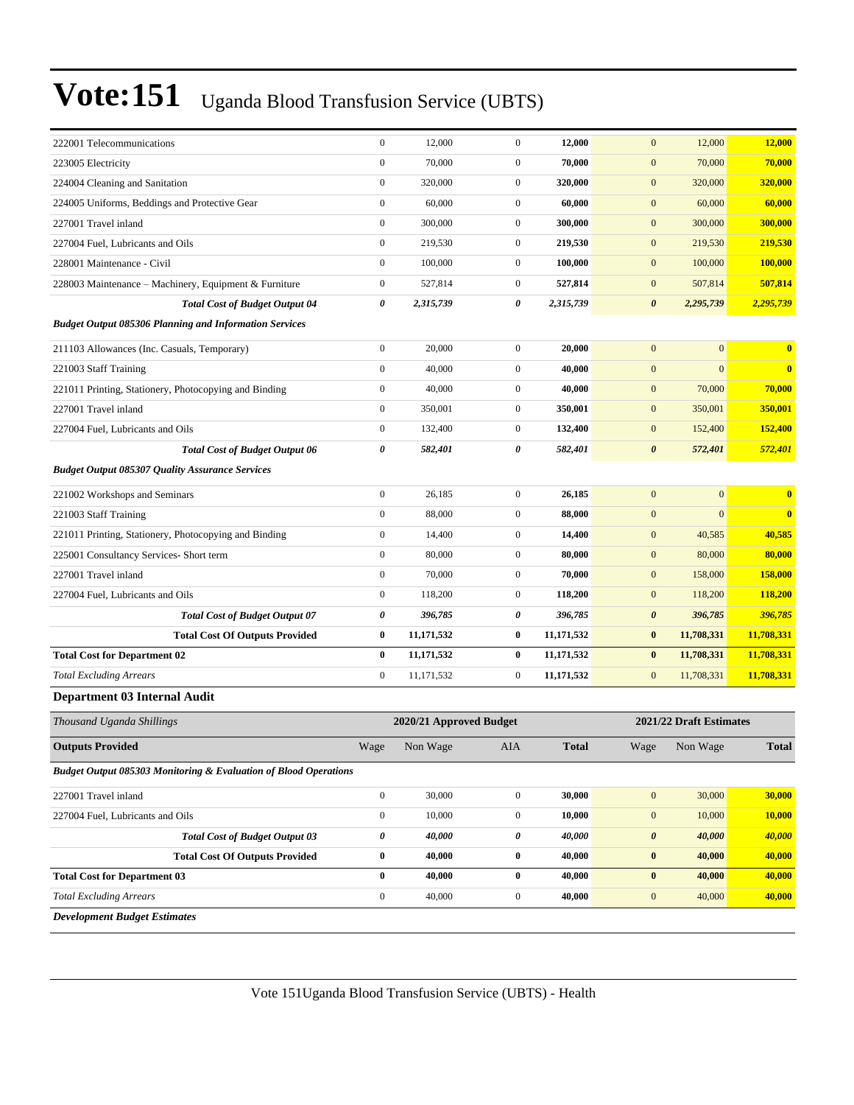| 222001 Telecommunications                                                   | $\boldsymbol{0}$ | 12,000                  | $\boldsymbol{0}$ | 12,000       | $\mathbf{0}$          | 12,000                  | 12,000       |  |
|-----------------------------------------------------------------------------|------------------|-------------------------|------------------|--------------|-----------------------|-------------------------|--------------|--|
| 223005 Electricity                                                          | $\boldsymbol{0}$ | 70,000                  | $\boldsymbol{0}$ | 70,000       | $\mathbf{0}$          | 70,000                  | 70,000       |  |
| 224004 Cleaning and Sanitation                                              | $\boldsymbol{0}$ | 320,000                 | $\overline{0}$   | 320,000      | $\boldsymbol{0}$      | 320,000                 | 320,000      |  |
| 224005 Uniforms, Beddings and Protective Gear                               | $\boldsymbol{0}$ | 60,000                  | $\boldsymbol{0}$ | 60,000       | $\mathbf{0}$          | 60,000                  | 60,000       |  |
| 227001 Travel inland                                                        | $\boldsymbol{0}$ | 300,000                 | $\overline{0}$   | 300,000      | $\mathbf{0}$          | 300,000                 | 300,000      |  |
| 227004 Fuel, Lubricants and Oils                                            | $\boldsymbol{0}$ | 219,530                 | $\mathbf{0}$     | 219,530      | $\mathbf{0}$          | 219,530                 | 219,530      |  |
| 228001 Maintenance - Civil                                                  | $\boldsymbol{0}$ | 100,000                 | $\mathbf{0}$     | 100,000      | $\mathbf{0}$          | 100,000                 | 100,000      |  |
| 228003 Maintenance - Machinery, Equipment & Furniture                       | $\boldsymbol{0}$ | 527,814                 | $\boldsymbol{0}$ | 527,814      | $\mathbf{0}$          | 507,814                 | 507,814      |  |
| <b>Total Cost of Budget Output 04</b>                                       | 0                | 2,315,739               | 0                | 2,315,739    | $\boldsymbol{\theta}$ | 2,295,739               | 2,295,739    |  |
| <b>Budget Output 085306 Planning and Information Services</b>               |                  |                         |                  |              |                       |                         |              |  |
| 211103 Allowances (Inc. Casuals, Temporary)                                 | $\boldsymbol{0}$ | 20,000                  | $\boldsymbol{0}$ | 20,000       | $\mathbf{0}$          | $\boldsymbol{0}$        | $\mathbf{0}$ |  |
| 221003 Staff Training                                                       | $\boldsymbol{0}$ | 40,000                  | $\overline{0}$   | 40,000       | $\mathbf{0}$          | $\mathbf{0}$            | $\bf{0}$     |  |
| 221011 Printing, Stationery, Photocopying and Binding                       | $\boldsymbol{0}$ | 40,000                  | $\overline{0}$   | 40,000       | $\mathbf{0}$          | 70,000                  | 70,000       |  |
| 227001 Travel inland                                                        | $\boldsymbol{0}$ | 350,001                 | $\overline{0}$   | 350,001      | $\boldsymbol{0}$      | 350,001                 | 350,001      |  |
| 227004 Fuel, Lubricants and Oils                                            | $\boldsymbol{0}$ | 132,400                 | $\boldsymbol{0}$ | 132,400      | $\mathbf{0}$          | 152,400                 | 152,400      |  |
| <b>Total Cost of Budget Output 06</b>                                       | 0                | 582,401                 | 0                | 582,401      | $\boldsymbol{\theta}$ | 572,401                 | 572,401      |  |
| <b>Budget Output 085307 Quality Assurance Services</b>                      |                  |                         |                  |              |                       |                         |              |  |
| 221002 Workshops and Seminars                                               | $\boldsymbol{0}$ | 26,185                  | $\mathbf{0}$     | 26,185       | $\mathbf{0}$          | $\mathbf{0}$            | $\bf{0}$     |  |
| 221003 Staff Training                                                       | $\boldsymbol{0}$ | 88,000                  | $\mathbf{0}$     | 88,000       | $\mathbf{0}$          | $\mathbf{0}$            | $\bf{0}$     |  |
| 221011 Printing, Stationery, Photocopying and Binding                       | $\boldsymbol{0}$ | 14,400                  | $\boldsymbol{0}$ | 14,400       | $\mathbf{0}$          | 40,585                  | 40,585       |  |
| 225001 Consultancy Services- Short term                                     | $\boldsymbol{0}$ | 80,000                  | $\boldsymbol{0}$ | 80,000       | $\mathbf{0}$          | 80,000                  | 80,000       |  |
| 227001 Travel inland                                                        | $\boldsymbol{0}$ | 70,000                  | $\overline{0}$   | 70,000       | $\mathbf{0}$          | 158,000                 | 158,000      |  |
| 227004 Fuel, Lubricants and Oils                                            | $\boldsymbol{0}$ | 118,200                 | $\mathbf{0}$     | 118,200      | $\mathbf{0}$          | 118,200                 | 118,200      |  |
| <b>Total Cost of Budget Output 07</b>                                       | 0                | 396,785                 | 0                | 396,785      | $\boldsymbol{\theta}$ | 396,785                 | 396,785      |  |
| <b>Total Cost Of Outputs Provided</b>                                       | $\bf{0}$         | 11,171,532              | $\bf{0}$         | 11,171,532   | $\bf{0}$              | 11,708,331              | 11,708,331   |  |
| <b>Total Cost for Department 02</b>                                         | $\bf{0}$         | 11,171,532              | $\bf{0}$         | 11,171,532   | $\bf{0}$              | 11,708,331              | 11,708,331   |  |
| <b>Total Excluding Arrears</b>                                              | $\boldsymbol{0}$ | 11,171,532              | $\mathbf{0}$     | 11,171,532   | $\mathbf{0}$          | 11,708,331              | 11,708,331   |  |
| Department 03 Internal Audit                                                |                  |                         |                  |              |                       |                         |              |  |
| Thousand Uganda Shillings                                                   |                  | 2020/21 Approved Budget |                  |              |                       | 2021/22 Draft Estimates |              |  |
| <b>Outputs Provided</b>                                                     | Wage             | Non Wage                | <b>AIA</b>       | <b>Total</b> | Wage                  | Non Wage                | <b>Total</b> |  |
| <b>Budget Output 085303 Monitoring &amp; Evaluation of Blood Operations</b> |                  |                         |                  |              |                       |                         |              |  |
| 227001 Travel inland                                                        | $\boldsymbol{0}$ | 30,000                  | $\boldsymbol{0}$ | 30,000       | $\mathbf{0}$          | 30,000                  | 30,000       |  |
| 227004 Fuel, Lubricants and Oils                                            | $\boldsymbol{0}$ | 10,000                  | $\boldsymbol{0}$ | 10,000       | $\mathbf{0}$          | 10,000                  | 10,000       |  |
| <b>Total Cost of Budget Output 03</b>                                       | $\pmb{\theta}$   | 40,000                  | 0                | 40,000       | $\pmb{\theta}$        | 40,000                  | 40,000       |  |
| <b>Total Cost Of Outputs Provided</b>                                       | $\bf{0}$         | 40,000                  | $\bf{0}$         | 40,000       | $\bf{0}$              | 40,000                  | 40,000       |  |
| <b>Total Cost for Department 03</b>                                         | $\bf{0}$         | 40,000                  | $\bf{0}$         | 40,000       | $\boldsymbol{0}$      | 40,000                  | 40,000       |  |
| <b>Total Excluding Arrears</b>                                              | $\boldsymbol{0}$ | 40,000                  | $\boldsymbol{0}$ | 40,000       | $\boldsymbol{0}$      | 40,000                  | 40,000       |  |
| <b>Development Budget Estimates</b>                                         |                  |                         |                  |              |                       |                         |              |  |